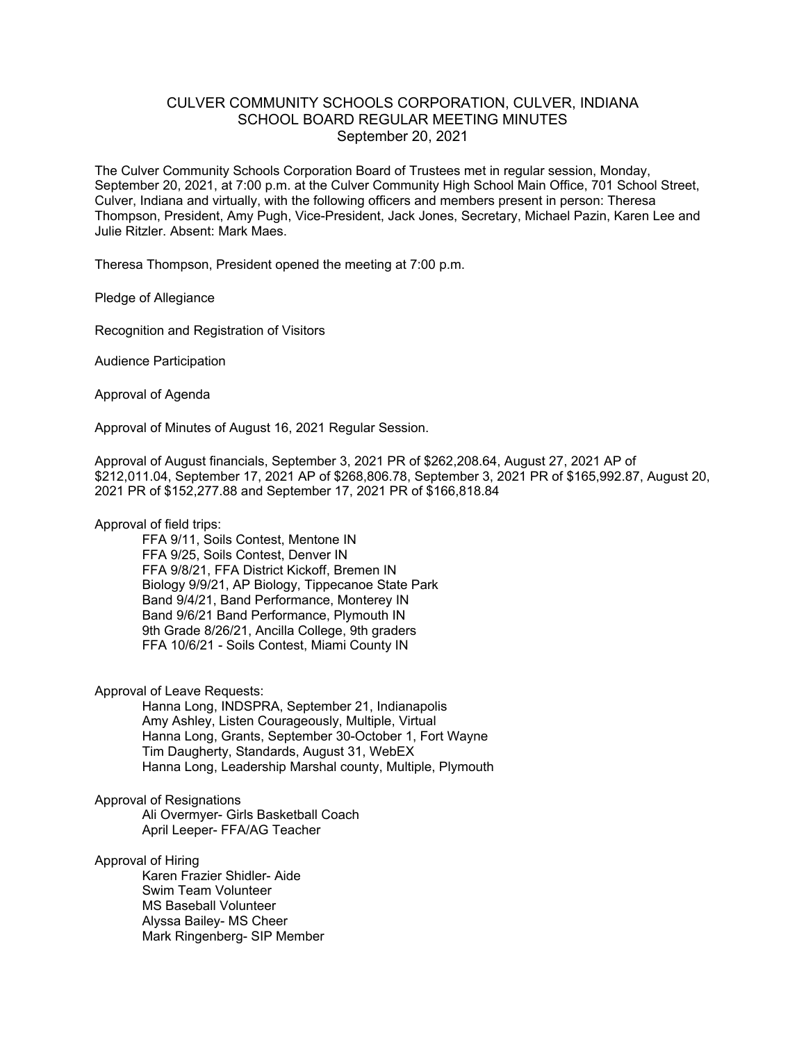## CULVER COMMUNITY SCHOOLS CORPORATION, CULVER, INDIANA SCHOOL BOARD REGULAR MEETING MINUTES September 20, 2021

The Culver Community Schools Corporation Board of Trustees met in regular session, Monday, September 20, 2021, at 7:00 p.m. at the Culver Community High School Main Office, 701 School Street, Culver, Indiana and virtually, with the following officers and members present in person: Theresa Thompson, President, Amy Pugh, Vice-President, Jack Jones, Secretary, Michael Pazin, Karen Lee and Julie Ritzler. Absent: Mark Maes.

Theresa Thompson, President opened the meeting at 7:00 p.m.

Pledge of Allegiance

Recognition and Registration of Visitors

Audience Participation

Approval of Agenda

Approval of Minutes of August 16, 2021 Regular Session.

Approval of August financials, September 3, 2021 PR of \$262,208.64, August 27, 2021 AP of \$212,011.04, September 17, 2021 AP of \$268,806.78, September 3, 2021 PR of \$165,992.87, August 20, 2021 PR of \$152,277.88 and September 17, 2021 PR of \$166,818.84

Approval of field trips:

FFA 9/11, Soils Contest, Mentone IN FFA 9/25, Soils Contest, Denver IN FFA 9/8/21, FFA District Kickoff, Bremen IN Biology 9/9/21, AP Biology, Tippecanoe State Park Band 9/4/21, Band Performance, Monterey IN Band 9/6/21 Band Performance, Plymouth IN 9th Grade 8/26/21, Ancilla College, 9th graders FFA 10/6/21 - Soils Contest, Miami County IN

Approval of Leave Requests:

Hanna Long, INDSPRA, September 21, Indianapolis Amy Ashley, Listen Courageously, Multiple, Virtual Hanna Long, Grants, September 30-October 1, Fort Wayne Tim Daugherty, Standards, August 31, WebEX Hanna Long, Leadership Marshal county, Multiple, Plymouth

## Approval of Resignations

Ali Overmyer- Girls Basketball Coach April Leeper- FFA/AG Teacher

Approval of Hiring

Karen Frazier Shidler- Aide Swim Team Volunteer MS Baseball Volunteer Alyssa Bailey- MS Cheer Mark Ringenberg- SIP Member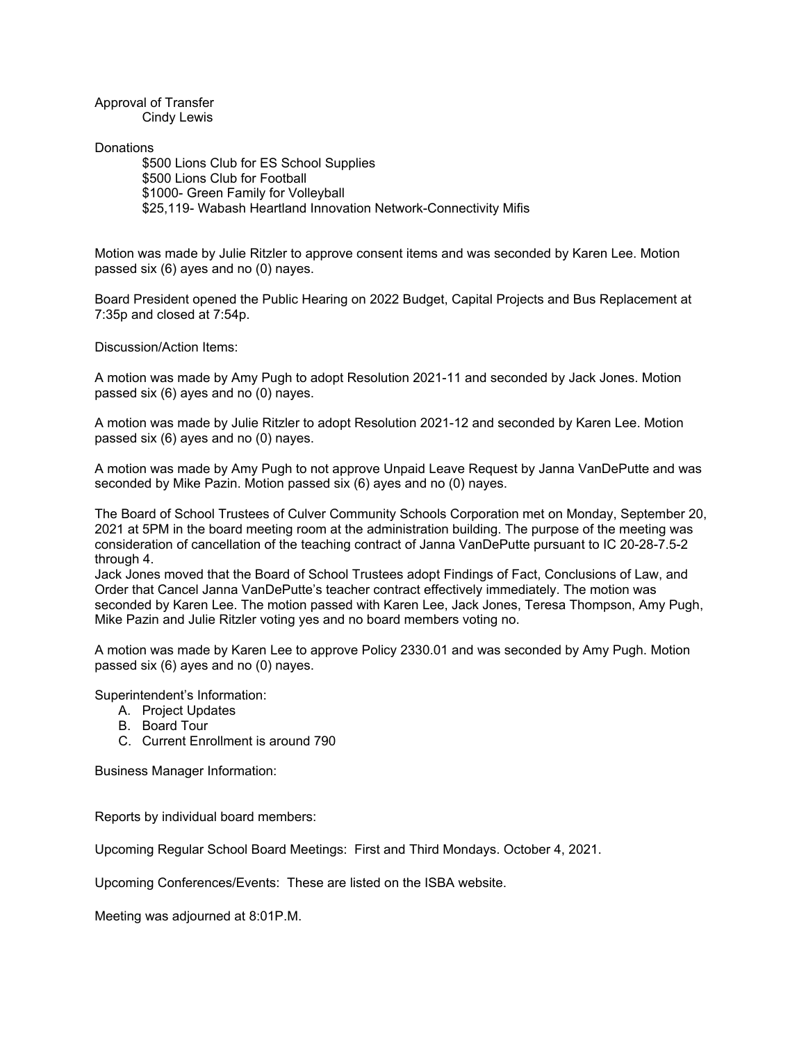## Approval of Transfer Cindy Lewis

## **Donations**

\$500 Lions Club for ES School Supplies \$500 Lions Club for Football \$1000- Green Family for Volleyball \$25,119- Wabash Heartland Innovation Network-Connectivity Mifis

Motion was made by Julie Ritzler to approve consent items and was seconded by Karen Lee. Motion passed six (6) ayes and no (0) nayes.

Board President opened the Public Hearing on 2022 Budget, Capital Projects and Bus Replacement at 7:35p and closed at 7:54p.

Discussion/Action Items:

A motion was made by Amy Pugh to adopt Resolution 2021-11 and seconded by Jack Jones. Motion passed six (6) ayes and no (0) nayes.

A motion was made by Julie Ritzler to adopt Resolution 2021-12 and seconded by Karen Lee. Motion passed six (6) ayes and no (0) nayes.

A motion was made by Amy Pugh to not approve Unpaid Leave Request by Janna VanDePutte and was seconded by Mike Pazin. Motion passed six (6) ayes and no (0) nayes.

The Board of School Trustees of Culver Community Schools Corporation met on Monday, September 20, 2021 at 5PM in the board meeting room at the administration building. The purpose of the meeting was consideration of cancellation of the teaching contract of Janna VanDePutte pursuant to IC 20-28-7.5-2 through 4.

Jack Jones moved that the Board of School Trustees adopt Findings of Fact, Conclusions of Law, and Order that Cancel Janna VanDePutte's teacher contract effectively immediately. The motion was seconded by Karen Lee. The motion passed with Karen Lee, Jack Jones, Teresa Thompson, Amy Pugh, Mike Pazin and Julie Ritzler voting yes and no board members voting no.

A motion was made by Karen Lee to approve Policy 2330.01 and was seconded by Amy Pugh. Motion passed six (6) ayes and no (0) nayes.

Superintendent's Information:

- A. Project Updates
- B. Board Tour
- C. Current Enrollment is around 790

Business Manager Information:

Reports by individual board members:

Upcoming Regular School Board Meetings: First and Third Mondays. October 4, 2021.

Upcoming Conferences/Events: These are listed on the ISBA website.

Meeting was adjourned at 8:01P.M.